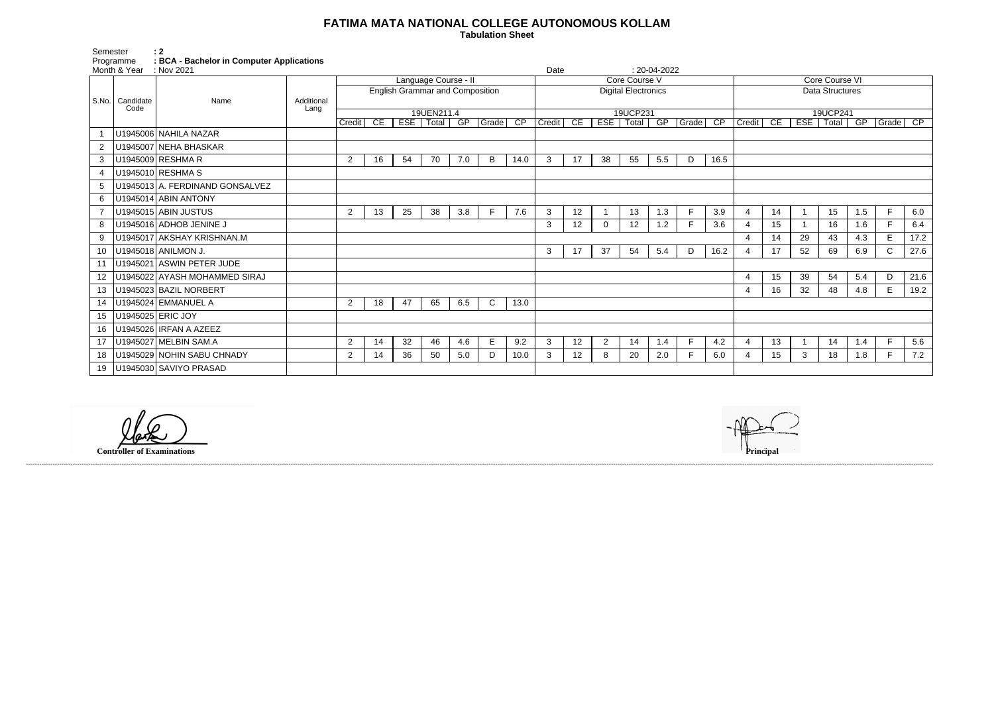## **FATIMA MATA NATIONAL COLLEGE AUTONOMOUS KOLLAM**

 **Tabulation Sheet** 

Semester<br>Programme Programme **: BCA - Bachelor in Computer Applications**

| Month & Year<br>: Nov 2021 |                   |                                 |            |                |    |    | $: 20-04-2022$<br>Date                 |     |              |                 |               |                            |          |          |     |             |      |                |                        |    |                  |     |              |      |
|----------------------------|-------------------|---------------------------------|------------|----------------|----|----|----------------------------------------|-----|--------------|-----------------|---------------|----------------------------|----------|----------|-----|-------------|------|----------------|------------------------|----|------------------|-----|--------------|------|
|                            |                   |                                 |            |                |    |    | Language Course - II                   |     |              |                 | Core Course V |                            |          |          |     |             |      |                | Core Course VI         |    |                  |     |              |      |
|                            |                   |                                 |            |                |    |    | <b>English Grammar and Composition</b> |     |              |                 |               | <b>Digital Electronics</b> |          |          |     |             |      |                | <b>Data Structures</b> |    |                  |     |              |      |
|                            | S.No.   Candidate | Name                            | Additional |                |    |    |                                        |     |              |                 |               |                            |          |          |     |             |      |                |                        |    |                  |     |              |      |
|                            | Code              |                                 | Lang       |                |    |    | 19UEN211.4                             |     |              |                 |               |                            |          | 19UCP231 |     |             |      |                |                        |    | 19UCP241         |     |              |      |
|                            |                   |                                 |            | Credit         | CE |    | ESE   Total   GP   Grade               |     |              | $\overline{CP}$ | Credit CE     |                            | EST      | Total    |     | GP Grade CP |      | <b>Credit</b>  | CE                     |    | ESE   Total   GP |     | Grade        | CP   |
|                            |                   | U1945006 NAHILA NAZAR           |            |                |    |    |                                        |     |              |                 |               |                            |          |          |     |             |      |                |                        |    |                  |     |              |      |
|                            |                   | U1945007 NEHA BHASKAR           |            |                |    |    |                                        |     |              |                 |               |                            |          |          |     |             |      |                |                        |    |                  |     |              |      |
| 3                          |                   | U1945009 RESHMA R               |            | 2              | 16 | 54 | 70                                     | 7.0 | B            | 14.0            | 3             | 17                         | 38       | 55       | 5.5 | D           | 16.5 |                |                        |    |                  |     |              |      |
|                            |                   | U1945010 RESHMA S               |            |                |    |    |                                        |     |              |                 |               |                            |          |          |     |             |      |                |                        |    |                  |     |              |      |
| 5                          |                   | U1945013 A. FERDINAND GONSALVEZ |            |                |    |    |                                        |     |              |                 |               |                            |          |          |     |             |      |                |                        |    |                  |     |              |      |
| 6                          |                   | U1945014 ABIN ANTONY            |            |                |    |    |                                        |     |              |                 |               |                            |          |          |     |             |      |                |                        |    |                  |     |              |      |
|                            |                   | U1945015 ABIN JUSTUS            |            | $\overline{2}$ | 13 | 25 | 38                                     | 3.8 |              | 7.6             | 3             | 12                         |          | 13       | 1.3 | F           | 3.9  | $\overline{4}$ | 14                     |    | 15               | 1.5 | E            | 6.0  |
| 8                          |                   | U1945016 ADHOB JENINE J         |            |                |    |    |                                        |     |              |                 | 3             | 12                         | $\Omega$ | 12       | 1.2 | E           | 3.6  | $\overline{4}$ | 15                     |    | 16               | 1.6 | F.           | 6.4  |
| 9                          |                   | U1945017 AKSHAY KRISHNAN.M      |            |                |    |    |                                        |     |              |                 |               |                            |          |          |     |             |      |                | 14                     | 29 | 43               | 4.3 | E            | 17.2 |
| 10                         |                   | U1945018 ANILMON J.             |            |                |    |    |                                        |     |              |                 | 3             | 17                         | 37       | 54       | 5.4 | D           | 16.2 |                | 17                     | 52 | 69               | 6.9 | $\mathsf{C}$ | 27.6 |
|                            |                   | U1945021 ASWIN PETER JUDE       |            |                |    |    |                                        |     |              |                 |               |                            |          |          |     |             |      |                |                        |    |                  |     |              |      |
| 12                         |                   | U1945022 AYASH MOHAMMED SIRAJ   |            |                |    |    |                                        |     |              |                 |               |                            |          |          |     |             |      | $\overline{4}$ | 15                     | 39 | 54               | 5.4 | D            | 21.6 |
| 13                         |                   | U1945023 BAZIL NORBERT          |            |                |    |    |                                        |     |              |                 |               |                            |          |          |     |             |      | $\overline{4}$ | 16                     | 32 | 48               | 4.8 | E            | 19.2 |
| 14                         |                   | U1945024 EMMANUEL A             |            | $\overline{2}$ | 18 | 47 | 65                                     | 6.5 | $\mathsf{C}$ | 13.0            |               |                            |          |          |     |             |      |                |                        |    |                  |     |              |      |
| 15                         |                   | U1945025 ERIC JOY               |            |                |    |    |                                        |     |              |                 |               |                            |          |          |     |             |      |                |                        |    |                  |     |              |      |
| 16                         |                   | U1945026 IRFAN A AZEEZ          |            |                |    |    |                                        |     |              |                 |               |                            |          |          |     |             |      |                |                        |    |                  |     |              |      |
| 17                         |                   | U1945027 MELBIN SAM.A           |            | $\overline{2}$ | 14 | 32 | 46                                     | 4.6 | E            | 9.2             | 3             | 12                         | 2        | 14       | 1.4 |             | 4.2  | $\overline{4}$ | 13                     |    | 14               | 1.4 | E            | 5.6  |
| 18                         |                   | U1945029 NOHIN SABU CHNADY      |            | $\overline{2}$ | 14 | 36 | 50                                     | 5.0 | D.           | 10.0            | 3             | 12                         | 8        | 20       | 2.0 | F           | 6.0  | 4              | 15                     | 3  | 18               | 1.8 | F.           | 7.2  |
| 19                         |                   | U1945030 SAVIYO PRASAD          |            |                |    |    |                                        |     |              |                 |               |                            |          |          |     |             |      |                |                        |    |                  |     |              |      |

------------------------------------------------------------------------------------------------------------------------------------------------------------------------------------------------------------------------------------------------------------------------------------------------------------------------------------------------------------------------------------------------------------------------

**Controller of Examinations**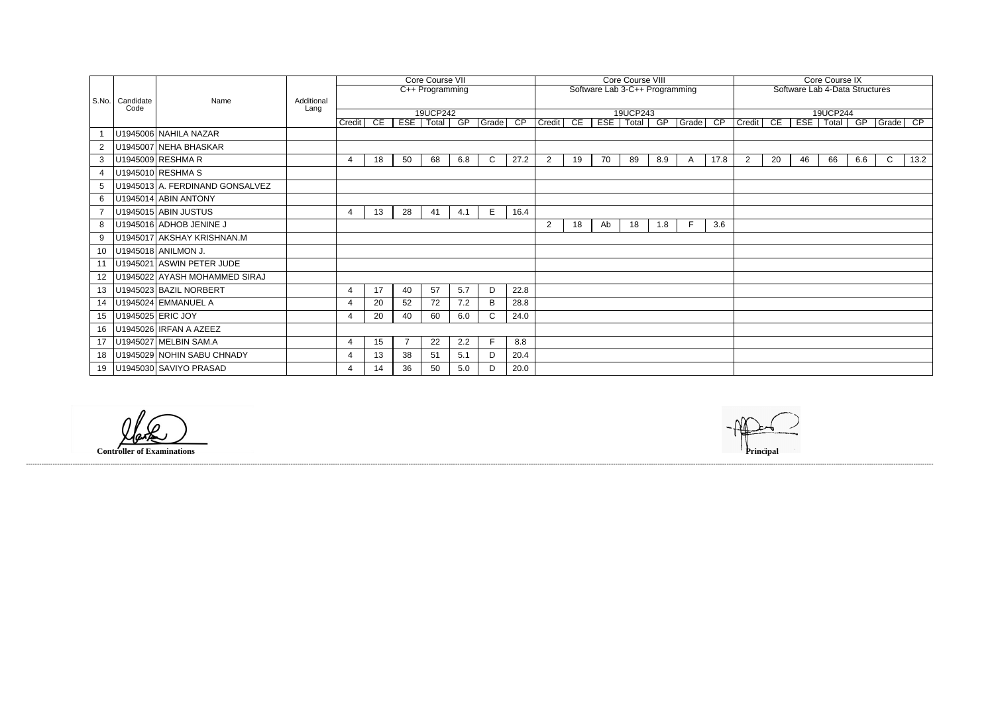| Core Course IX |                                |            |       |     |             |                 |  |  |  |  |  |  |  |  |  |
|----------------|--------------------------------|------------|-------|-----|-------------|-----------------|--|--|--|--|--|--|--|--|--|
|                | Software Lab 4-Data Structures |            |       |     |             |                 |  |  |  |  |  |  |  |  |  |
|                |                                |            |       |     |             |                 |  |  |  |  |  |  |  |  |  |
|                |                                |            |       |     |             |                 |  |  |  |  |  |  |  |  |  |
|                | 19UCP244                       |            |       |     |             |                 |  |  |  |  |  |  |  |  |  |
| Credit         | CE                             | <b>ESE</b> | Total | GP  | Grade       | $\overline{CP}$ |  |  |  |  |  |  |  |  |  |
|                |                                |            |       |     |             |                 |  |  |  |  |  |  |  |  |  |
|                |                                |            |       |     |             |                 |  |  |  |  |  |  |  |  |  |
|                |                                |            |       |     |             |                 |  |  |  |  |  |  |  |  |  |
| $\overline{2}$ | 20                             | 46         | 66    | 6.6 | $\mathsf C$ | 13.2            |  |  |  |  |  |  |  |  |  |
|                |                                |            |       |     |             |                 |  |  |  |  |  |  |  |  |  |
|                |                                |            |       |     |             |                 |  |  |  |  |  |  |  |  |  |
|                |                                |            |       |     |             |                 |  |  |  |  |  |  |  |  |  |
|                |                                |            |       |     |             |                 |  |  |  |  |  |  |  |  |  |
|                |                                |            |       |     |             |                 |  |  |  |  |  |  |  |  |  |
|                |                                |            |       |     |             |                 |  |  |  |  |  |  |  |  |  |
|                |                                |            |       |     |             |                 |  |  |  |  |  |  |  |  |  |
|                |                                |            |       |     |             |                 |  |  |  |  |  |  |  |  |  |
|                |                                |            |       |     |             |                 |  |  |  |  |  |  |  |  |  |
|                |                                |            |       |     |             |                 |  |  |  |  |  |  |  |  |  |
|                |                                |            |       |     |             |                 |  |  |  |  |  |  |  |  |  |
|                |                                |            |       |     |             |                 |  |  |  |  |  |  |  |  |  |
|                |                                |            |       |     |             |                 |  |  |  |  |  |  |  |  |  |
|                |                                |            |       |     |             |                 |  |  |  |  |  |  |  |  |  |
|                |                                |            |       |     |             |                 |  |  |  |  |  |  |  |  |  |
|                |                                |            |       |     |             |                 |  |  |  |  |  |  |  |  |  |
|                |                                |            |       |     |             |                 |  |  |  |  |  |  |  |  |  |
|                |                                |            |       |     |             |                 |  |  |  |  |  |  |  |  |  |
|                |                                |            |       |     |             |                 |  |  |  |  |  |  |  |  |  |
|                |                                |            |       |     |             |                 |  |  |  |  |  |  |  |  |  |
|                |                                |            |       |     |             |                 |  |  |  |  |  |  |  |  |  |
|                |                                |            |       |     |             |                 |  |  |  |  |  |  |  |  |  |

|                 |                           | Name                            |                    | Core Course VII       |     |                |                              |                 |              |      | Core Course VIII |                                |     |                   |     |       |      |             | <b>Core Course IX</b>          |    |                         |     |             |      |
|-----------------|---------------------------|---------------------------------|--------------------|-----------------------|-----|----------------|------------------------------|-----------------|--------------|------|------------------|--------------------------------|-----|-------------------|-----|-------|------|-------------|--------------------------------|----|-------------------------|-----|-------------|------|
|                 |                           |                                 |                    |                       |     |                |                              | C++ Programming |              |      |                  | Software Lab 3-C++ Programming |     |                   |     |       |      |             | Software Lab 4-Data Structures |    |                         |     |             |      |
|                 | S.No.   Candidate<br>Code |                                 | Additional<br>Lang |                       |     |                |                              |                 |              |      |                  |                                |     |                   |     |       |      |             |                                |    |                         |     |             |      |
|                 |                           |                                 |                    | Credit                | CE. |                | 19UCP242<br>ESE   Total   GP |                 | Grade CP     |      | Credit           | CE                             | ESE | 19UCP243<br>Total | GP  | Grade | CP   | Credit      | CE                             |    | 19UCP244<br>ESE   Total | GP  | Grade CP    |      |
|                 |                           | U1945006 NAHILA NAZAR           |                    |                       |     |                |                              |                 |              |      |                  |                                |     |                   |     |       |      |             |                                |    |                         |     |             |      |
| 2               |                           | U1945007 NEHA BHASKAR           |                    |                       |     |                |                              |                 |              |      |                  |                                |     |                   |     |       |      |             |                                |    |                         |     |             |      |
| 3               |                           | U1945009 RESHMA R               |                    | $\boldsymbol{\Delta}$ | 18  | 50             | 68                           | 6.8             | $\mathsf{C}$ | 27.2 | $2^{\circ}$      | 19                             | 70  | 89                | 8.9 | A     | 17.8 | $2^{\circ}$ | 20                             | 46 | 66                      | 6.6 | $\mathbf C$ | 13.2 |
|                 |                           | U1945010 RESHMA S               |                    |                       |     |                |                              |                 |              |      |                  |                                |     |                   |     |       |      |             |                                |    |                         |     |             |      |
| 5               |                           | U1945013 A. FERDINAND GONSALVEZ |                    |                       |     |                |                              |                 |              |      |                  |                                |     |                   |     |       |      |             |                                |    |                         |     |             |      |
| 6               |                           | U1945014 ABIN ANTONY            |                    |                       |     |                |                              |                 |              |      |                  |                                |     |                   |     |       |      |             |                                |    |                         |     |             |      |
|                 |                           | U1945015 ABIN JUSTUS            |                    | -4                    | 13  | 28             | 41                           | 4.1             | E.           | 16.4 |                  |                                |     |                   |     |       |      |             |                                |    |                         |     |             |      |
| 8               |                           | U1945016 ADHOB JENINE J         |                    |                       |     |                |                              |                 |              |      | $\overline{2}$   | 18                             | Ab  | 18                | 1.8 | -F    | 3.6  |             |                                |    |                         |     |             |      |
| 9               |                           | U1945017 AKSHAY KRISHNAN.M      |                    |                       |     |                |                              |                 |              |      |                  |                                |     |                   |     |       |      |             |                                |    |                         |     |             |      |
| 10              |                           | U1945018 ANILMON J.             |                    |                       |     |                |                              |                 |              |      |                  |                                |     |                   |     |       |      |             |                                |    |                         |     |             |      |
| 11              |                           | U1945021 ASWIN PETER JUDE       |                    |                       |     |                |                              |                 |              |      |                  |                                |     |                   |     |       |      |             |                                |    |                         |     |             |      |
| 12 <sup>°</sup> |                           | U1945022 AYASH MOHAMMED SIRAJ   |                    |                       |     |                |                              |                 |              |      |                  |                                |     |                   |     |       |      |             |                                |    |                         |     |             |      |
| 13              |                           | U1945023 BAZIL NORBERT          |                    |                       | 17  | 40             | 57                           | 5.7             | D            | 22.8 |                  |                                |     |                   |     |       |      |             |                                |    |                         |     |             |      |
| 14              |                           | U1945024 EMMANUEL A             |                    | -4                    | 20  | 52             | 72                           | 7.2             | B            | 28.8 |                  |                                |     |                   |     |       |      |             |                                |    |                         |     |             |      |
| 15              |                           | U1945025 ERIC JOY               |                    | -4                    | 20  | 40             | 60                           | 6.0             | C.           | 24.0 |                  |                                |     |                   |     |       |      |             |                                |    |                         |     |             |      |
| 16              |                           | U1945026 IRFAN A AZEEZ          |                    |                       |     |                |                              |                 |              |      |                  |                                |     |                   |     |       |      |             |                                |    |                         |     |             |      |
| 17              |                           | U1945027 MELBIN SAM.A           |                    | $\overline{4}$        | 15  | $\overline{7}$ | 22                           | 2.2             | F.           | 8.8  |                  |                                |     |                   |     |       |      |             |                                |    |                         |     |             |      |
| 18              |                           | U1945029 NOHIN SABU CHNADY      |                    | -4                    | 13  | 38             | 51                           | 5.1             | D            | 20.4 |                  |                                |     |                   |     |       |      |             |                                |    |                         |     |             |      |
| 19              |                           | U1945030 SAVIYO PRASAD          |                    |                       | 14  | 36             | 50                           | 5.0             | D            | 20.0 |                  |                                |     |                   |     |       |      |             |                                |    |                         |     |             |      |

**Controller of Examinations Principal**

------------------------------------------------------------------------------------------------------------------------------------------------------------------------------------------------------------------------------------------------------------------------------------------------------------------------------------------------------------------------------------------------------------------------